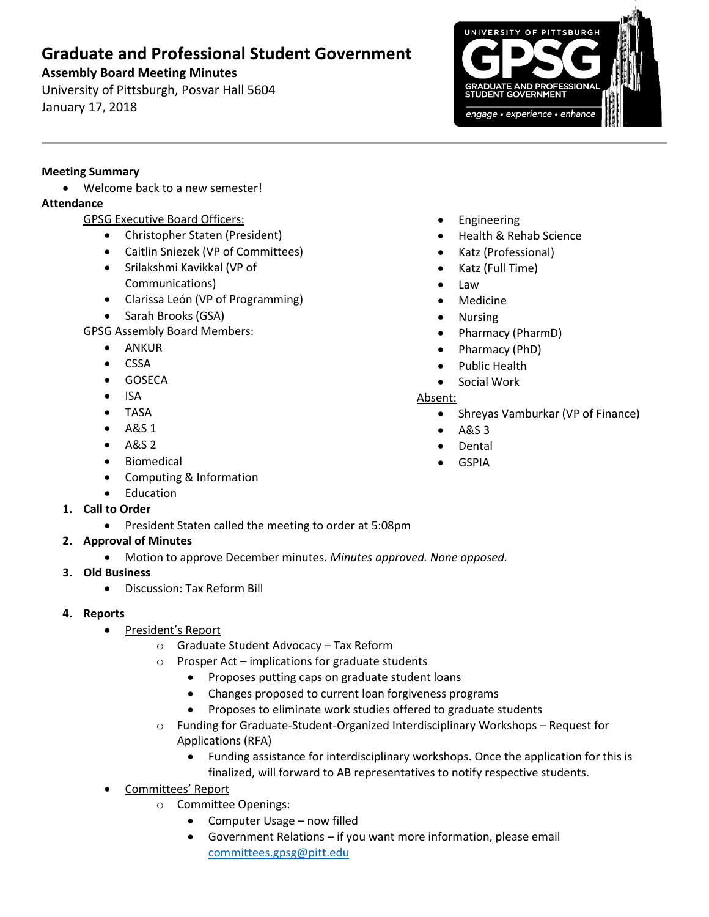# **Graduate and Professional Student Government**

## **Assembly Board Meeting Minutes**

University of Pittsburgh, Posvar Hall 5604 January 17, 2018



#### **Meeting Summary**

Welcome back to a new semester!

## **Attendance**

- GPSG Executive Board Officers:
	- Christopher Staten (President)
	- Caitlin Sniezek (VP of Committees)
	- Srilakshmi Kavikkal (VP of Communications)
	- Clarissa León (VP of Programming)
	- Sarah Brooks (GSA)

# GPSG Assembly Board Members:

- ANKUR
- CSSA
- **•** GOSECA
- $\bullet$  ISA
- TASA
- $-$  A&S 1
- $-$  A&S 2
- Biomedical
- Computing & Information
- Education
- **1. Call to Order**
	- President Staten called the meeting to order at 5:08pm
- **2. Approval of Minutes** 
	- Motion to approve December minutes. *Minutes approved. None opposed.*
- **3. Old Business**
	- Discussion: Tax Reform Bill
- **4. Reports** 
	- President's Report
		- o Graduate Student Advocacy Tax Reform
		- o Prosper Act implications for graduate students
			- Proposes putting caps on graduate student loans
			- Changes proposed to current loan forgiveness programs
			- Proposes to eliminate work studies offered to graduate students
		- o Funding for Graduate-Student-Organized Interdisciplinary Workshops Request for Applications (RFA)
			- Funding assistance for interdisciplinary workshops. Once the application for this is finalized, will forward to AB representatives to notify respective students.
	- Committees' Report
		- o Committee Openings:
			- Computer Usage now filled
			- Government Relations if you want more information, please email [committees.gpsg@pitt.edu](mailto:committees.gpsg@pitt.edu)
- Engineering
- Health & Rehab Science
- Katz (Professional)
- Katz (Full Time)
- Law
- Medicine
- Nursing
- Pharmacy (PharmD)
- Pharmacy (PhD)
- Public Health
- Social Work

### Absent:

- Shreyas Vamburkar (VP of Finance)
- $\bullet$  A&S 3
- Dental
- GSPIA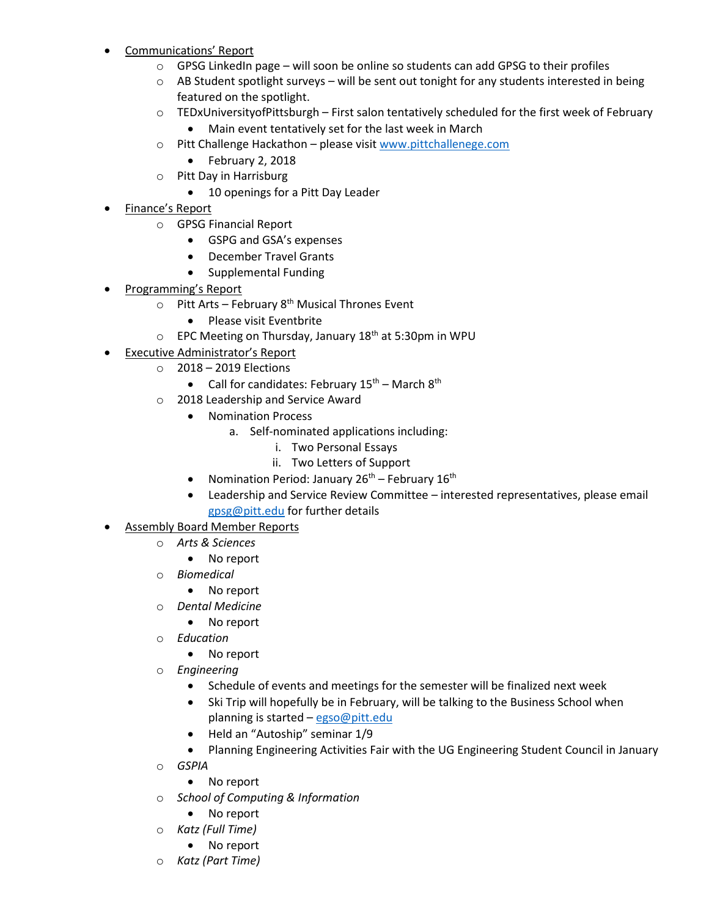- Communications' Report
	- $\circ$  GPSG LinkedIn page will soon be online so students can add GPSG to their profiles
	- $\circ$  AB Student spotlight surveys will be sent out tonight for any students interested in being featured on the spotlight.
	- o TEDxUniversityofPittsburgh First salon tentatively scheduled for the first week of February Main event tentatively set for the last week in March
	- o Pitt Challenge Hackathon please visit [www.pittchallenege.com](http://www.pittchallenege.com/)
		- February 2, 2018
	- o Pitt Day in Harrisburg
		- 10 openings for a Pitt Day Leader
- Finance's Report
	- o GPSG Financial Report
		- GSPG and GSA's expenses
		- December Travel Grants
		- Supplemental Funding
- Programming's Report
	- $\circ$  Pitt Arts February 8<sup>th</sup> Musical Thrones Event
		- Please visit Eventbrite
	- o EPC Meeting on Thursday, January 18th at 5:30pm in WPU
- Executive Administrator's Report
	- o 2018 2019 Elections
		- Call for candidates: February  $15^{th}$  March  $8^{th}$
		- 2018 Leadership and Service Award
			- Nomination Process
				- a. Self-nominated applications including:
					- i. Two Personal Essays
					- ii. Two Letters of Support
			- Nomination Period: January  $26^{th}$  February  $16^{th}$
			- Leadership and Service Review Committee interested representatives, please email [gpsg@pitt.edu](mailto:gpsg@pitt.edu) for further details
- Assembly Board Member Reports
	- o *Arts & Sciences*
		- No report
	- o *Biomedical*
		- No report
	- o *Dental Medicine*
		- No report
	- o *Education*
		- No report
	- o *Engineering*
		- Schedule of events and meetings for the semester will be finalized next week
		- Ski Trip will hopefully be in February, will be talking to the Business School when planning is started – [egso@pitt.edu](mailto:egso@pitt.edu)
		- Held an "Autoship" seminar 1/9
		- Planning Engineering Activities Fair with the UG Engineering Student Council in January
	- o *GSPIA*
		- No report
	- o *School of Computing & Information*
		- No report
	- o *Katz (Full Time)*
		- No report
	- o *Katz (Part Time)*